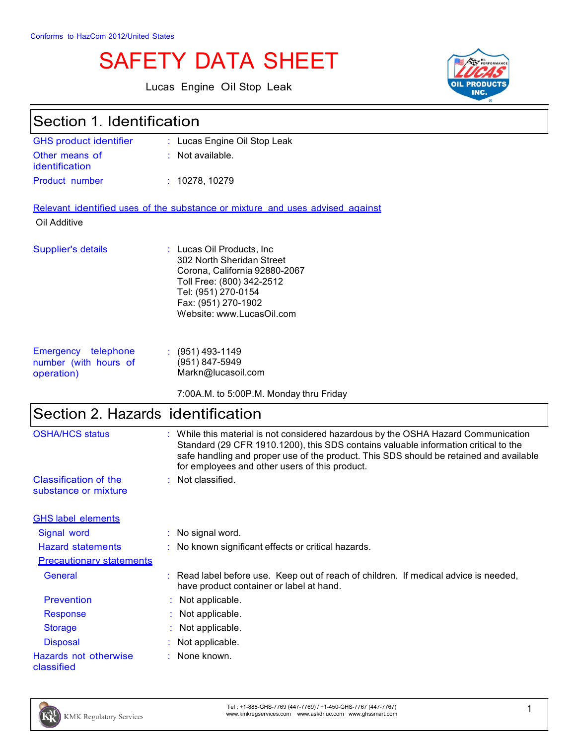# SAFETY DATA SHEET

Lucas Engine Oil Stop Leak





**PRODUC INC**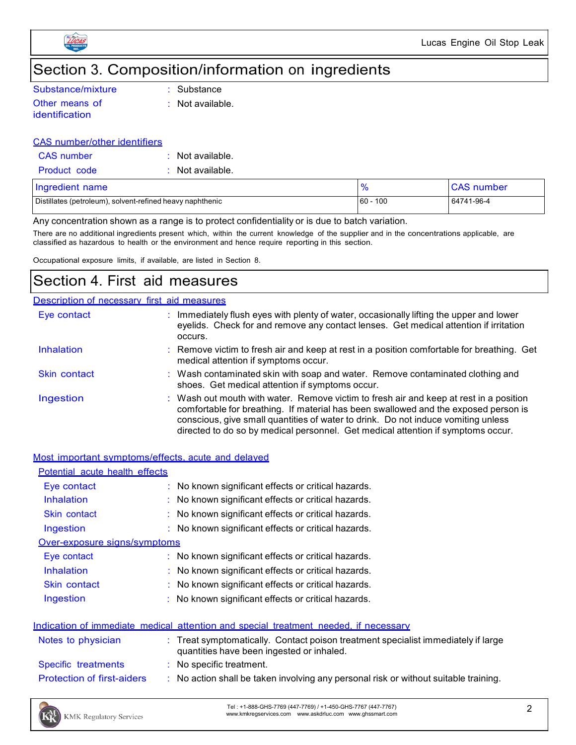

## Section 3. Composition/information on ingredients

Substance/mixture : Substance Other means of

identification

: Not available.

#### CAS number/other identifiers

| CAS number          | $:$ Not available.          |
|---------------------|-----------------------------|
| <b>Product code</b> | $\therefore$ Not available. |

| Ingredient name                                           |           | number     |
|-----------------------------------------------------------|-----------|------------|
| Distillates (petroleum), solvent-refined heavy naphthenic | 100<br>60 | 64741-96-4 |

Any concentration shown as a range is to protect confidentiality or is due to batch variation.

There are no additional ingredients present which, within the current knowledge of the supplier and in the concentrations applicable, are classified as hazardous to health or the environment and hence require reporting in this section.

Occupational exposure limits, if available, are listed in Section 8.

### Section 4. First aid measures

#### Description of necessary first aid measures Eye contact Inhalation Skin contact : Immediately flush eyes with plenty of water, occasionally lifting the upper and lower eyelids. Check for and remove any contact lenses. Get medical attention if irritation occurs. : Remove victim to fresh air and keep at rest in a position comfortable for breathing. Get medical attention if symptoms occur. : Wash contaminated skin with soap and water. Remove contaminated clothing and shoes. Get medical attention if symptoms occur. Ingestion : Wash out mouth with water. Remove victim to fresh air and keep at rest in a position comfortable for breathing. If material has been swallowed and the exposed person is conscious, give small quantities of water to drink. Do not induce vomiting unless directed to do so by medical personnel. Get medical attention if symptoms occur.

#### Most important symptoms/effects, acute and delayed

| Potential acute health effects    |                                                                                                                                |
|-----------------------------------|--------------------------------------------------------------------------------------------------------------------------------|
| Eye contact                       | $\therefore$ No known significant effects or critical hazards.                                                                 |
| <b>Inhalation</b>                 | $\therefore$ No known significant effects or critical hazards.                                                                 |
| Skin contact                      | : No known significant effects or critical hazards.                                                                            |
| Ingestion                         | : No known significant effects or critical hazards.                                                                            |
| Over-exposure signs/symptoms      |                                                                                                                                |
| Eye contact                       | $\therefore$ No known significant effects or critical hazards.                                                                 |
| Inhalation                        | $\therefore$ No known significant effects or critical hazards.                                                                 |
| Skin contact                      | : No known significant effects or critical hazards.                                                                            |
| Ingestion                         | : No known significant effects or critical hazards.                                                                            |
|                                   |                                                                                                                                |
|                                   | Indication of immediate medical attention and special treatment needed, if necessary                                           |
| Notes to physician                | : Treat symptomatically. Contact poison treatment specialist immediately if large<br>quantities have been ingested or inhaled. |
| Specific treatments               | : No specific treatment.                                                                                                       |
| <b>Protection of first-aiders</b> | : No action shall be taken involving any personal risk or without suitable training.                                           |

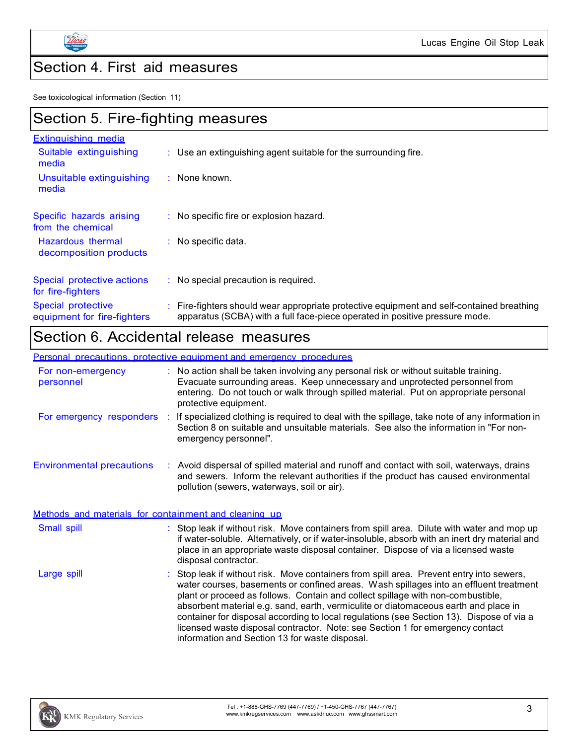

 $\mathsf{r}$ 

## Section 4. First aid measures

See toxicological information (Section 11)

| Section 5. Fire-fighting measures                 |                                                                                                                                                                          |  |
|---------------------------------------------------|--------------------------------------------------------------------------------------------------------------------------------------------------------------------------|--|
| <b>Extinguishing media</b>                        |                                                                                                                                                                          |  |
| Suitable extinguishing<br>media                   | $\therefore$ Use an extinguishing agent suitable for the surrounding fire.                                                                                               |  |
| Unsuitable extinguishing<br>media                 | $\therefore$ None known.                                                                                                                                                 |  |
| Specific hazards arising<br>from the chemical     | $\therefore$ No specific fire or explosion hazard.                                                                                                                       |  |
| Hazardous thermal<br>decomposition products       | $:$ No specific data.                                                                                                                                                    |  |
| Special protective actions<br>for fire-fighters   | $\therefore$ No special precaution is required.                                                                                                                          |  |
| Special protective<br>equipment for fire-fighters | : Fire-fighters should wear appropriate protective equipment and self-contained breathing<br>apparatus (SCBA) with a full face-piece operated in positive pressure mode. |  |

## Section 6. Accidental release measures

### Personal precautions, protective equipment and emergency procedures

|                                                       | <u>Diotomno outmolitum una omorabhor broodunat</u>                                                                                                                                                                                                                                                                                                                                                                                                                                                                                                                                         |
|-------------------------------------------------------|--------------------------------------------------------------------------------------------------------------------------------------------------------------------------------------------------------------------------------------------------------------------------------------------------------------------------------------------------------------------------------------------------------------------------------------------------------------------------------------------------------------------------------------------------------------------------------------------|
| For non-emergency<br>personnel                        | : No action shall be taken involving any personal risk or without suitable training.<br>Evacuate surrounding areas. Keep unnecessary and unprotected personnel from<br>entering. Do not touch or walk through spilled material. Put on appropriate personal<br>protective equipment.                                                                                                                                                                                                                                                                                                       |
| For emergency responders :                            | If specialized clothing is required to deal with the spillage, take note of any information in<br>Section 8 on suitable and unsuitable materials. See also the information in "For non-<br>emergency personnel".                                                                                                                                                                                                                                                                                                                                                                           |
| <b>Environmental precautions</b>                      | : Avoid dispersal of spilled material and runoff and contact with soil, waterways, drains<br>and sewers. Inform the relevant authorities if the product has caused environmental<br>pollution (sewers, waterways, soil or air).                                                                                                                                                                                                                                                                                                                                                            |
| Methods and materials for containment and cleaning up |                                                                                                                                                                                                                                                                                                                                                                                                                                                                                                                                                                                            |
| Small spill                                           | : Stop leak if without risk. Move containers from spill area. Dilute with water and mop up<br>if water-soluble. Alternatively, or if water-insoluble, absorb with an inert dry material and<br>place in an appropriate waste disposal container. Dispose of via a licensed waste<br>disposal contractor.                                                                                                                                                                                                                                                                                   |
| Large spill                                           | : Stop leak if without risk. Move containers from spill area. Prevent entry into sewers,<br>water courses, basements or confined areas. Wash spillages into an effluent treatment<br>plant or proceed as follows. Contain and collect spillage with non-combustible,<br>absorbent material e.g. sand, earth, vermiculite or diatomaceous earth and place in<br>container for disposal according to local regulations (see Section 13). Dispose of via a<br>licensed waste disposal contractor. Note: see Section 1 for emergency contact<br>information and Section 13 for waste disposal. |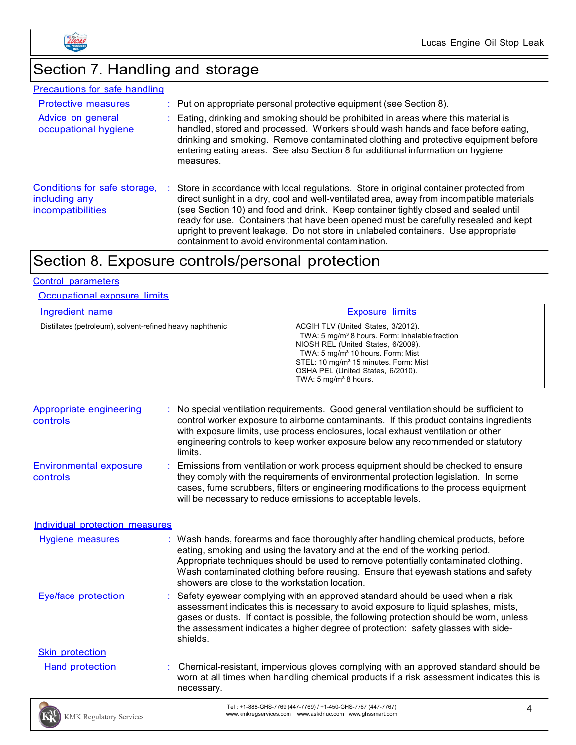

Lucas Engine Oil Stop Leak

## Section 7. Handling and storage

| <b>Precautions for safe handling</b>                               |                                                                                                                                                                                                                                                                                                                                                                                                                                                                                                               |
|--------------------------------------------------------------------|---------------------------------------------------------------------------------------------------------------------------------------------------------------------------------------------------------------------------------------------------------------------------------------------------------------------------------------------------------------------------------------------------------------------------------------------------------------------------------------------------------------|
| <b>Protective measures</b>                                         | $\therefore$ Put on appropriate personal protective equipment (see Section 8).                                                                                                                                                                                                                                                                                                                                                                                                                                |
| Advice on general<br>occupational hygiene                          | Eating, drinking and smoking should be prohibited in areas where this material is<br>handled, stored and processed. Workers should wash hands and face before eating,<br>drinking and smoking. Remove contaminated clothing and protective equipment before<br>entering eating areas. See also Section 8 for additional information on hygiene<br>measures.                                                                                                                                                   |
| Conditions for safe storage,<br>including any<br>incompatibilities | : Store in accordance with local regulations. Store in original container protected from<br>direct sunlight in a dry, cool and well-ventilated area, away from incompatible materials<br>(see Section 10) and food and drink. Keep container tightly closed and sealed until<br>ready for use. Containers that have been opened must be carefully resealed and kept<br>upright to prevent leakage. Do not store in unlabeled containers. Use appropriate<br>containment to avoid environmental contamination. |

## Section 8. Exposure controls/personal protection

### Control parameters

### Occupational exposure limits

| Ingredient name                                           | <b>Exposure limits</b>                                                                                                                                                                                                                                                                                       |
|-----------------------------------------------------------|--------------------------------------------------------------------------------------------------------------------------------------------------------------------------------------------------------------------------------------------------------------------------------------------------------------|
| Distillates (petroleum), solvent-refined heavy naphthenic | ACGIH TLV (United States, 3/2012).<br>TWA: 5 mg/m <sup>3</sup> 8 hours. Form: Inhalable fraction<br>NIOSH REL (United States, 6/2009).<br>TWA: 5 mg/m <sup>3</sup> 10 hours. Form: Mist<br>STEL: 10 mg/m <sup>3</sup> 15 minutes. Form: Mist<br>OSHA PEL (United States, 6/2010).<br>TWA: 5 $mg/m3$ 8 hours. |

| Appropriate engineering<br>controls       | No special ventilation requirements. Good general ventilation should be sufficient to<br>control worker exposure to airborne contaminants. If this product contains ingredients<br>with exposure limits, use process enclosures, local exhaust ventilation or other<br>engineering controls to keep worker exposure below any recommended or statutory<br>limits.                                 |
|-------------------------------------------|---------------------------------------------------------------------------------------------------------------------------------------------------------------------------------------------------------------------------------------------------------------------------------------------------------------------------------------------------------------------------------------------------|
| <b>Environmental exposure</b><br>controls | : Emissions from ventilation or work process equipment should be checked to ensure<br>they comply with the requirements of environmental protection legislation. In some<br>cases, fume scrubbers, filters or engineering modifications to the process equipment<br>will be necessary to reduce emissions to acceptable levels.                                                                   |
| Individual protection measures            |                                                                                                                                                                                                                                                                                                                                                                                                   |
| Hygiene measures                          | : Wash hands, forearms and face thoroughly after handling chemical products, before<br>eating, smoking and using the lavatory and at the end of the working period.<br>Appropriate techniques should be used to remove potentially contaminated clothing.<br>Wash contaminated clothing before reusing. Ensure that eyewash stations and safety<br>showers are close to the workstation location. |
| Eye/face protection                       | Safety eyewear complying with an approved standard should be used when a risk<br>assessment indicates this is necessary to avoid exposure to liquid splashes, mists,<br>gases or dusts. If contact is possible, the following protection should be worn, unless<br>the assessment indicates a higher degree of protection: safety glasses with side-<br>shields.                                  |
| <b>Skin protection</b>                    |                                                                                                                                                                                                                                                                                                                                                                                                   |
| Hand protection                           | Chemical-resistant, impervious gloves complying with an approved standard should be<br>worn at all times when handling chemical products if a risk assessment indicates this is<br>necessary.                                                                                                                                                                                                     |
|                                           | Tel: +1-888-GHS-7769 (447-7769) / +1-450-GHS-7767 (447-7767)                                                                                                                                                                                                                                                                                                                                      |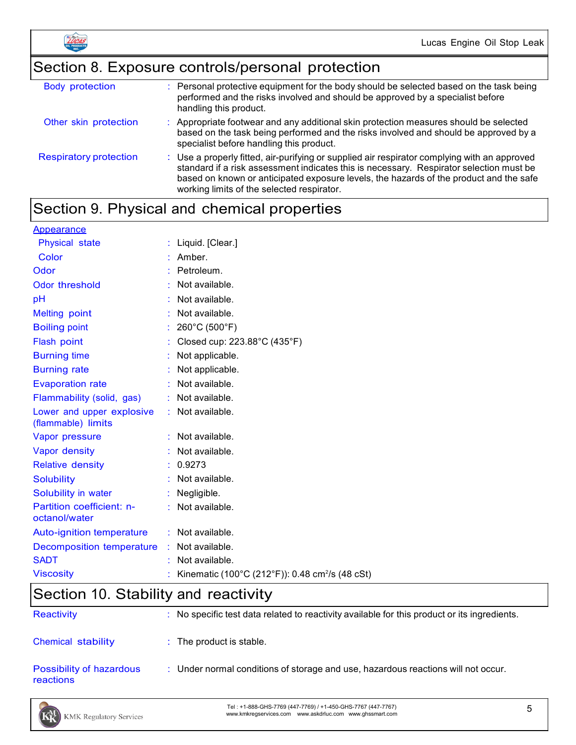

## Section 8. Exposure controls/personal protection

| <b>Body protection</b>        | : Personal protective equipment for the body should be selected based on the task being<br>performed and the risks involved and should be approved by a specialist before<br>handling this product.                                                                                                                             |
|-------------------------------|---------------------------------------------------------------------------------------------------------------------------------------------------------------------------------------------------------------------------------------------------------------------------------------------------------------------------------|
| Other skin protection         | : Appropriate footwear and any additional skin protection measures should be selected<br>based on the task being performed and the risks involved and should be approved by a<br>specialist before handling this product.                                                                                                       |
| <b>Respiratory protection</b> | : Use a properly fitted, air-purifying or supplied air respirator complying with an approved<br>standard if a risk assessment indicates this is necessary. Respirator selection must be<br>based on known or anticipated exposure levels, the hazards of the product and the safe<br>working limits of the selected respirator. |

## Section 9. Physical and chemical properties

| Appearance                                      |                                                             |
|-------------------------------------------------|-------------------------------------------------------------|
| Physical state                                  | : Liquid. [Clear.]                                          |
| Color                                           | $:$ Amber.                                                  |
| Odor                                            | : Petroleum.                                                |
| Odor threshold                                  | : Not available.                                            |
| pH                                              | : Not available.                                            |
| <b>Melting point</b>                            | Not available.                                              |
| <b>Boiling point</b>                            | : $260^{\circ}$ C (500 $^{\circ}$ F)                        |
| Flash point                                     | Closed cup: 223.88°C (435°F)                                |
| <b>Burning time</b>                             | : Not applicable.                                           |
| <b>Burning rate</b>                             | Not applicable.                                             |
| <b>Evaporation rate</b>                         | : Not available.                                            |
| Flammability (solid, gas)                       | : Not available.                                            |
| Lower and upper explosive<br>(flammable) limits | : Not available.                                            |
| Vapor pressure                                  | : Not available.                                            |
| Vapor density                                   | : Not available.                                            |
| <b>Relative density</b>                         | : 0.9273                                                    |
| <b>Solubility</b>                               | : Not available.                                            |
| Solubility in water                             | : Negligible.                                               |
| Partition coefficient: n-<br>octanol/water      | : Not available.                                            |
| Auto-ignition temperature                       | : Not available.                                            |
| <b>Decomposition temperature</b>                | : Not available.                                            |
| <b>SADT</b>                                     | : Not available.                                            |
| <b>Viscosity</b>                                | Kinematic (100°C (212°F)): 0.48 cm <sup>2</sup> /s (48 cSt) |

## Section 10. Stability and reactivity

| <b>Reactivity</b>                     | $\therefore$ No specific test data related to reactivity available for this product or its ingredients. |
|---------------------------------------|---------------------------------------------------------------------------------------------------------|
| Chemical stability                    | $\therefore$ The product is stable.                                                                     |
| Possibility of hazardous<br>reactions | : Under normal conditions of storage and use, hazardous reactions will not occur.                       |

Tel : +1-888-GHS-7769 (447-7769) / +1-450-GHS-7767 (447-7767) Tel : +1-888-GHS-7769 (447-7769) / +1-450-GHS-7767 (447-7767)<br>www.kmkregservices.com www.askdrluc.com www.ghssmart.com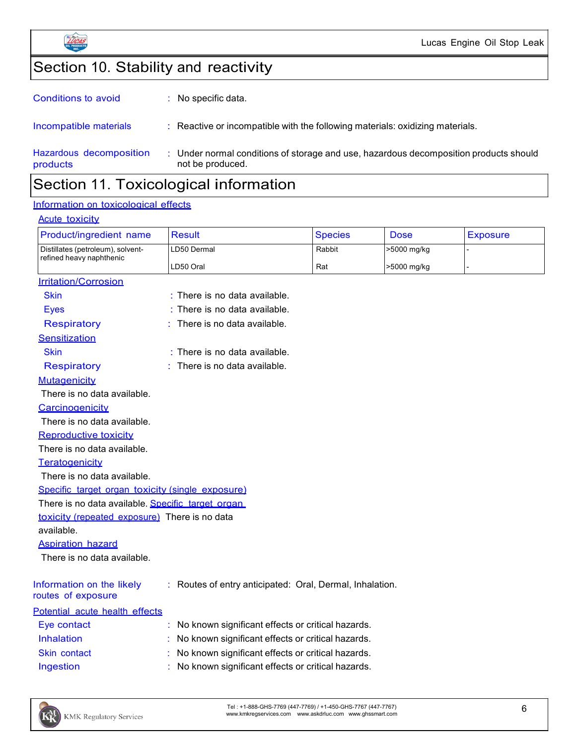

## Section 10. Stability and reactivity

|                                     | .                                                                                                       |
|-------------------------------------|---------------------------------------------------------------------------------------------------------|
| Hazardous decomposition<br>products | Under normal conditions of storage and use, hazardous decomposition products should<br>not be produced. |
| Incompatible materials              | : Reactive or incompatible with the following materials: oxidizing materials.                           |
| <b>Conditions to avoid</b>          | No specific data.                                                                                       |

### Section 11. Toxicological information

### Information on toxicological effects

#### **Acute toxicity**

| Product/ingredient name                           | <b>Result</b>                                            | <b>Species</b> | <b>Dose</b> | <b>Exposure</b> |
|---------------------------------------------------|----------------------------------------------------------|----------------|-------------|-----------------|
| Distillates (petroleum), solvent-                 | LD50 Dermal                                              | Rabbit         | >5000 mg/kg |                 |
| refined heavy naphthenic                          | LD50 Oral                                                | Rat            | >5000 mg/kg |                 |
| <b>Irritation/Corrosion</b>                       |                                                          |                |             |                 |
| <b>Skin</b>                                       | : There is no data available.                            |                |             |                 |
| <b>Eyes</b>                                       | : There is no data available.                            |                |             |                 |
| <b>Respiratory</b>                                | There is no data available.                              |                |             |                 |
| Sensitization                                     |                                                          |                |             |                 |
| <b>Skin</b>                                       | : There is no data available.                            |                |             |                 |
| <b>Respiratory</b>                                | There is no data available.                              |                |             |                 |
| <b>Mutagenicity</b>                               |                                                          |                |             |                 |
| There is no data available.                       |                                                          |                |             |                 |
| Carcinogenicity                                   |                                                          |                |             |                 |
| There is no data available.                       |                                                          |                |             |                 |
| <b>Reproductive toxicity</b>                      |                                                          |                |             |                 |
| There is no data available.                       |                                                          |                |             |                 |
| Teratogenicity                                    |                                                          |                |             |                 |
| There is no data available.                       |                                                          |                |             |                 |
| Specific target organ toxicity (single exposure)  |                                                          |                |             |                 |
| There is no data available. Specific target organ |                                                          |                |             |                 |
| toxicity (repeated exposure) There is no data     |                                                          |                |             |                 |
| available.                                        |                                                          |                |             |                 |
| <b>Aspiration hazard</b>                          |                                                          |                |             |                 |
| There is no data available.                       |                                                          |                |             |                 |
|                                                   |                                                          |                |             |                 |
| Information on the likely<br>routes of exposure   | : Routes of entry anticipated: Oral, Dermal, Inhalation. |                |             |                 |
| Potential acute health effects                    |                                                          |                |             |                 |
| Eye contact                                       | No known significant effects or critical hazards.        |                |             |                 |
| Inhalation                                        | No known significant effects or critical hazards.        |                |             |                 |
| Skin contact                                      | No known significant effects or critical hazards.        |                |             |                 |
| Ingestion                                         | No known significant effects or critical hazards.        |                |             |                 |

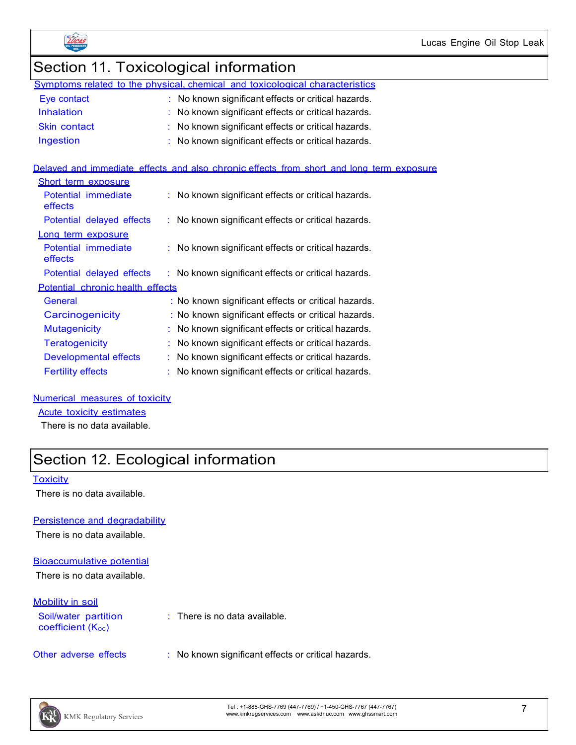



## Section 11. Toxicological information

|                   | Symptoms related to the physical, chemical and toxicological characteristics |
|-------------------|------------------------------------------------------------------------------|
| Eye contact       | : No known significant effects or critical hazards.                          |
| <b>Inhalation</b> | : No known significant effects or critical hazards.                          |
| Skin contact      | : No known significant effects or critical hazards.                          |
| Ingestion         | : No known significant effects or critical hazards.                          |

### Delayed and immediate effects and also chronic effects from short and long term exposure

| Short term exposure              |                                                                |
|----------------------------------|----------------------------------------------------------------|
| Potential immediate<br>effects   | : No known significant effects or critical hazards.            |
| Potential delayed effects        | : No known significant effects or critical hazards.            |
| Long term exposure               |                                                                |
| Potential immediate<br>effects   | : No known significant effects or critical hazards.            |
| Potential delayed effects        | : No known significant effects or critical hazards.            |
| Potential chronic health effects |                                                                |
| General                          | : No known significant effects or critical hazards.            |
| Carcinogenicity                  | : No known significant effects or critical hazards.            |
| <b>Mutagenicity</b>              | $\therefore$ No known significant effects or critical hazards. |
| <b>Teratogenicity</b>            | No known significant effects or critical hazards.              |
| <b>Developmental effects</b>     | No known significant effects or critical hazards.              |
| <b>Fertility effects</b>         | No known significant effects or critical hazards.              |

### Numerical measures of toxicity

### Acute toxicity estimates

There is no data available.

### Section 12. Ecological information

#### **Toxicity**

There is no data available.

#### Persistence and degradability

There is no data available.

#### Bioaccumulative potential

There is no data available.

### Mobility in soil

Soil/water partition coefficient  $(K<sub>oc</sub>)$ 

: There is no data available.

Other adverse effects : No known significant effects or critical hazards.

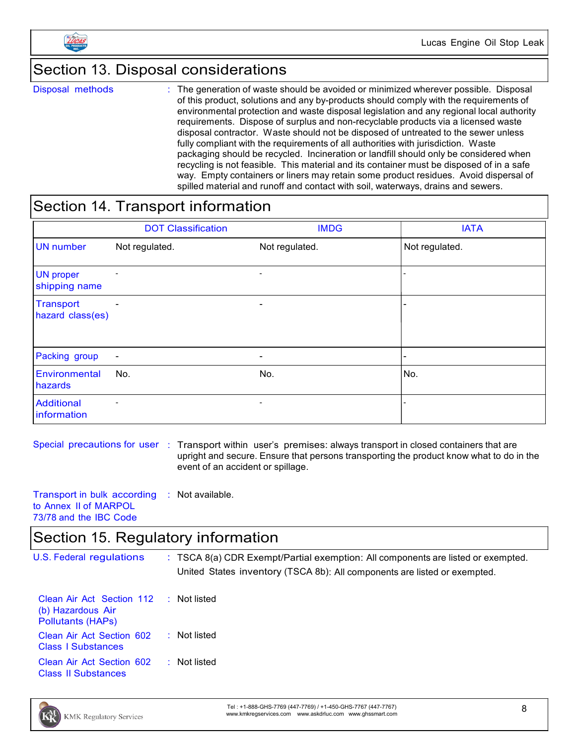

### Section 13. Disposal considerations

Disposal methods : The generation of waste should be avoided or minimized wherever possible. Disposal of this product, solutions and any by-products should comply with the requirements of environmental protection and waste disposal legislation and any regional local authority requirements. Dispose of surplus and non-recyclable products via a licensed waste disposal contractor. Waste should not be disposed of untreated to the sewer unless fully compliant with the requirements of all authorities with jurisdiction. Waste packaging should be recycled. Incineration or landfill should only be considered when recycling is not feasible. This material and its container must be disposed of in a safe way. Empty containers or liners may retain some product residues. Avoid dispersal of spilled material and runoff and contact with soil, waterways, drains and sewers.

### Section 14. Transport information

|                                   | <b>DOT Classification</b> | <b>IMDG</b>              | <b>IATA</b>    |
|-----------------------------------|---------------------------|--------------------------|----------------|
| <b>UN</b> number                  | Not regulated.            | Not regulated.           | Not regulated. |
| <b>UN proper</b><br>shipping name |                           | $\overline{\phantom{0}}$ |                |
| Transport<br>hazard class(es)     | $\overline{\phantom{a}}$  | $\overline{\phantom{0}}$ |                |
| Packing group                     | $\overline{\phantom{a}}$  | $\overline{\phantom{0}}$ |                |
| Environmental<br>hazards          | No.                       | No.                      | No.            |
| <b>Additional</b><br>information  | $\overline{\phantom{a}}$  | $\overline{\phantom{a}}$ |                |

Special precautions for user : Transport within user's premises: always transport in closed containers that are upright and secure. Ensure that persons transporting the product know what to do in the event of an accident or spillage.

Transport in bulk according to Annex II of MARPOL 73/78 and the IBC Code : Not available.

### Section 15. Regulatory information

U.S. Federal regulations : TSCA 8(a) CDR Exempt/Partial exemption: All components are listed or exempted. United States inventory (TSCA 8b): All components are listed or exempted.

| Clean Air Act Section 112 : Not listed<br>(b) Hazardous Air<br><b>Pollutants (HAPs)</b> |              |
|-----------------------------------------------------------------------------------------|--------------|
| Clean Air Act Section 602<br><b>Class I Substances</b>                                  | : Not listed |
| Clean Air Act Section 602<br><b>Class II Substances</b>                                 | : Not listed |



Tel : +1-888-GHS-7769 (447-7769) / +1-450-GHS-7767 (447-7767) Tel: +1-888-GHS-7769 (447-7769) / +1-450-GHS-7767 (447-7767)<br>www.kmkregservices.com www.askdrluc.com www.ghssmart.com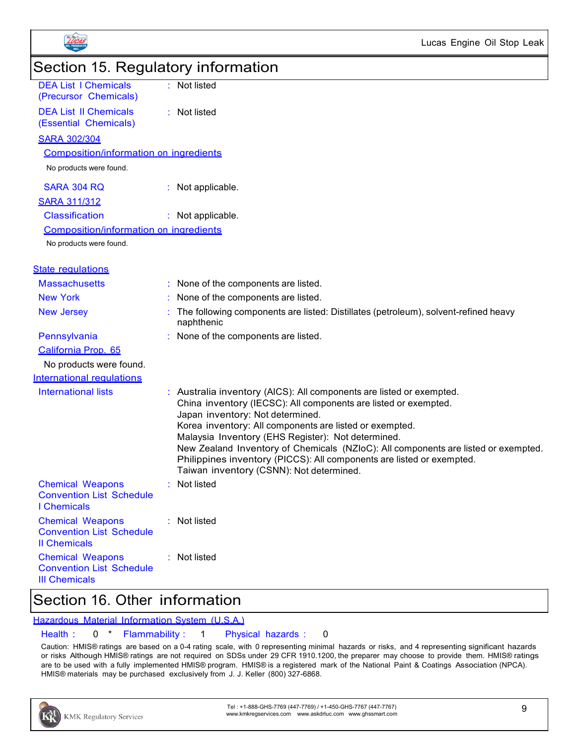

### Section 16. Other information

### Hazardous Material Information System (U.S.A.)

### Health : 0 \* Flammability : 1 Physical hazards : 0

Caution: HMIS® ratings are based on a 0-4 rating scale, with 0 representing minimal hazards or risks, and 4 representing significant hazards or risks Although HMIS® ratings are not required on SDSs under 29 CFR 1910.1200, the preparer may choose to provide them. HMIS® ratings are to be used with a fully implemented HMIS® program. HMIS® is a registered mark of the National Paint & Coatings Association (NPCA). HMIS® materials may be purchased exclusively from J. J. Keller (800) 327-6868.